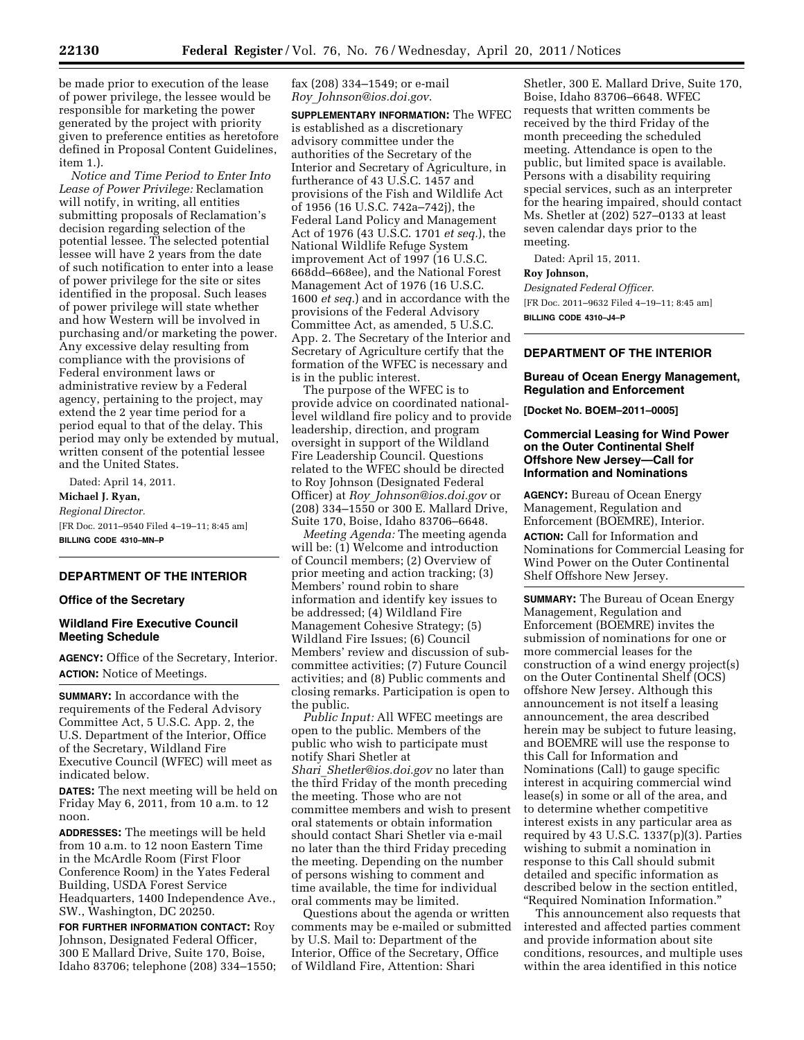be made prior to execution of the lease of power privilege, the lessee would be responsible for marketing the power generated by the project with priority given to preference entities as heretofore defined in Proposal Content Guidelines, item 1.

*Notice and Time Period to Enter Into Lease of Power Privilege:* Reclamation will notify, in writing, all entities submitting proposals of Reclamation's decision regarding selection of the potential lessee. The selected potential lessee will have 2 years from the date of such notification to enter into a lease of power privilege for the site or sites identified in the proposal. Such leases of power privilege will state whether and how Western will be involved in purchasing and/or marketing the power. Any excessive delay resulting from compliance with the provisions of Federal environment laws or administrative review by a Federal agency, pertaining to the project, may extend the 2 year time period for a period equal to that of the delay. This period may only be extended by mutual, written consent of the potential lessee and the United States.

Dated: April 14, 2011. **Michael J. Ryan,**  *Regional Director.*  [FR Doc. 2011–9540 Filed 4–19–11; 8:45 am] **BILLING CODE 4310–MN–P** 

## **DEPARTMENT OF THE INTERIOR**

#### **Office of the Secretary**

## **Wildland Fire Executive Council Meeting Schedule**

**AGENCY:** Office of the Secretary, Interior. **ACTION:** Notice of Meetings.

**SUMMARY:** In accordance with the requirements of the Federal Advisory Committee Act, 5 U.S.C. App. 2, the U.S. Department of the Interior, Office of the Secretary, Wildland Fire Executive Council (WFEC) will meet as indicated below.

**DATES:** The next meeting will be held on Friday May 6, 2011, from 10 a.m. to 12 noon.

**ADDRESSES:** The meetings will be held from 10 a.m. to 12 noon Eastern Time in the McArdle Room (First Floor Conference Room) in the Yates Federal Building, USDA Forest Service Headquarters, 1400 Independence Ave., SW., Washington, DC 20250.

**FOR FURTHER INFORMATION CONTACT:** Roy Johnson, Designated Federal Officer, 300 E Mallard Drive, Suite 170, Boise, Idaho 83706; telephone (208) 334–1550; fax (208) 334–1549; or e-mail *Roy*\_*Johnson@ios.doi.gov*.

**SUPPLEMENTARY INFORMATION:** The WFEC is established as a discretionary advisory committee under the authorities of the Secretary of the Interior and Secretary of Agriculture, in furtherance of 43 U.S.C. 1457 and provisions of the Fish and Wildlife Act of 1956 (16 U.S.C. 742a–742j), the Federal Land Policy and Management Act of 1976 (43 U.S.C. 1701 *et seq.*), the National Wildlife Refuge System improvement Act of 1997 (16 U.S.C. 668dd–668ee), and the National Forest Management Act of 1976 (16 U.S.C. 1600 *et seq.*) and in accordance with the provisions of the Federal Advisory Committee Act, as amended, 5 U.S.C. App. 2. The Secretary of the Interior and Secretary of Agriculture certify that the formation of the WFEC is necessary and is in the public interest.

The purpose of the WFEC is to provide advice on coordinated nationallevel wildland fire policy and to provide leadership, direction, and program oversight in support of the Wildland Fire Leadership Council. Questions related to the WFEC should be directed to Roy Johnson (Designated Federal Officer) at *Roy*\_*Johnson@ios.doi.gov* or (208) 334–1550 or 300 E. Mallard Drive, Suite 170, Boise, Idaho 83706–6648.

*Meeting Agenda:* The meeting agenda will be: (1) Welcome and introduction of Council members; (2) Overview of prior meeting and action tracking; (3) Members' round robin to share information and identify key issues to be addressed; (4) Wildland Fire Management Cohesive Strategy; (5) Wildland Fire Issues; (6) Council Members' review and discussion of subcommittee activities; (7) Future Council activities; and (8) Public comments and closing remarks. Participation is open to the public.

*Public Input:* All WFEC meetings are open to the public. Members of the public who wish to participate must notify Shari Shetler at *Shari*\_*Shetler@ios.doi.gov* no later than the third Friday of the month preceding the meeting. Those who are not committee members and wish to present oral statements or obtain information should contact Shari Shetler via e-mail no later than the third Friday preceding the meeting. Depending on the number of persons wishing to comment and time available, the time for individual oral comments may be limited.

Questions about the agenda or written comments may be e-mailed or submitted by U.S. Mail to: Department of the Interior, Office of the Secretary, Office of Wildland Fire, Attention: Shari

Shetler, 300 E. Mallard Drive, Suite 170, Boise, Idaho 83706–6648. WFEC requests that written comments be received by the third Friday of the month preceeding the scheduled meeting. Attendance is open to the public, but limited space is available. Persons with a disability requiring special services, such as an interpreter for the hearing impaired, should contact Ms. Shetler at (202) 527–0133 at least seven calendar days prior to the meeting.

Dated: April 15, 2011.

# **Roy Johnson,**

*Designated Federal Officer.*  [FR Doc. 2011–9632 Filed 4–19–11; 8:45 am] **BILLING CODE 4310–J4–P** 

# **DEPARTMENT OF THE INTERIOR**

## **Bureau of Ocean Energy Management, Regulation and Enforcement**

**[Docket No. BOEM–2011–0005]** 

# **Commercial Leasing for Wind Power on the Outer Continental Shelf Offshore New Jersey—Call for Information and Nominations**

**AGENCY:** Bureau of Ocean Energy Management, Regulation and Enforcement (BOEMRE), Interior.

**ACTION:** Call for Information and Nominations for Commercial Leasing for Wind Power on the Outer Continental Shelf Offshore New Jersey.

**SUMMARY:** The Bureau of Ocean Energy Management, Regulation and Enforcement (BOEMRE) invites the submission of nominations for one or more commercial leases for the construction of a wind energy project(s) on the Outer Continental Shelf (OCS) offshore New Jersey. Although this announcement is not itself a leasing announcement, the area described herein may be subject to future leasing, and BOEMRE will use the response to this Call for Information and Nominations (Call) to gauge specific interest in acquiring commercial wind lease(s) in some or all of the area, and to determine whether competitive interest exists in any particular area as required by 43 U.S.C. 1337(p)(3). Parties wishing to submit a nomination in response to this Call should submit detailed and specific information as described below in the section entitled, ''Required Nomination Information.''

This announcement also requests that interested and affected parties comment and provide information about site conditions, resources, and multiple uses within the area identified in this notice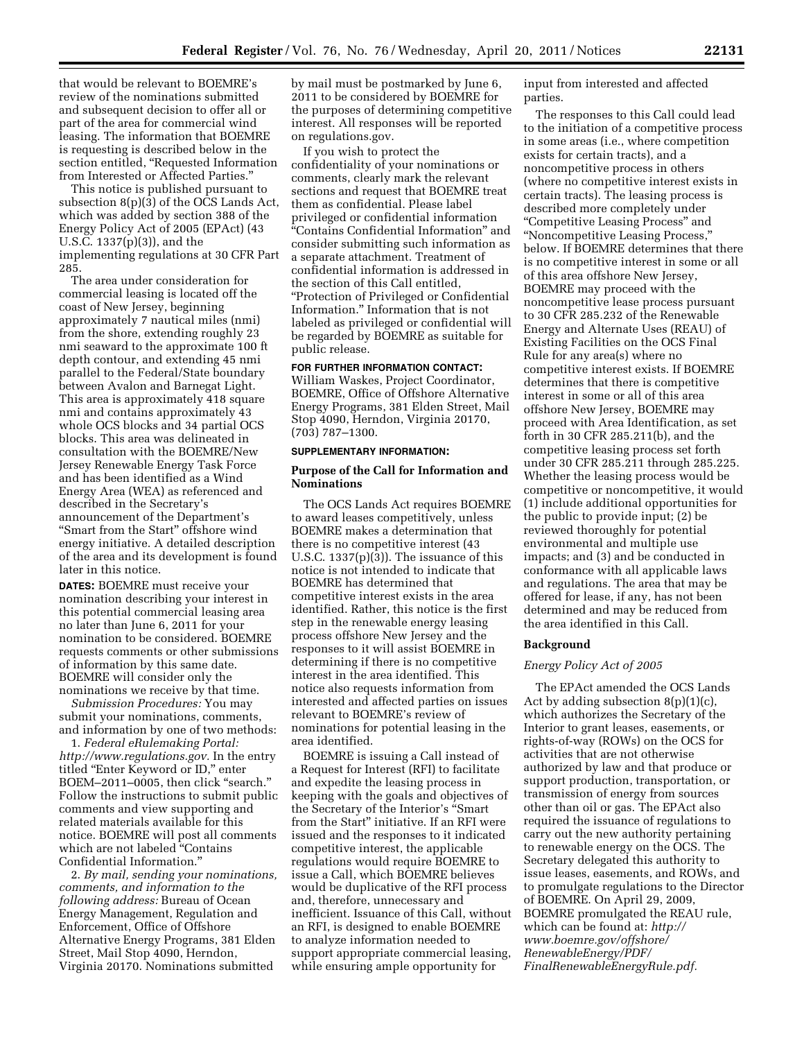that would be relevant to BOEMRE's review of the nominations submitted and subsequent decision to offer all or part of the area for commercial wind leasing. The information that BOEMRE is requesting is described below in the section entitled, ''Requested Information from Interested or Affected Parties.''

This notice is published pursuant to subsection 8(p)(3) of the OCS Lands Act, which was added by section 388 of the Energy Policy Act of 2005 (EPAct) (43 U.S.C. 1337(p)(3)), and the implementing regulations at 30 CFR Part 285.

The area under consideration for commercial leasing is located off the coast of New Jersey, beginning approximately 7 nautical miles (nmi) from the shore, extending roughly 23 nmi seaward to the approximate 100 ft depth contour, and extending 45 nmi parallel to the Federal/State boundary between Avalon and Barnegat Light. This area is approximately 418 square nmi and contains approximately 43 whole OCS blocks and 34 partial OCS blocks. This area was delineated in consultation with the BOEMRE/New Jersey Renewable Energy Task Force and has been identified as a Wind Energy Area (WEA) as referenced and described in the Secretary's announcement of the Department's ''Smart from the Start'' offshore wind energy initiative. A detailed description of the area and its development is found later in this notice.

**DATES:** BOEMRE must receive your nomination describing your interest in this potential commercial leasing area no later than June 6, 2011 for your nomination to be considered. BOEMRE requests comments or other submissions of information by this same date. BOEMRE will consider only the nominations we receive by that time.

*Submission Procedures:* You may submit your nominations, comments, and information by one of two methods:

1. *Federal eRulemaking Portal: http://www.regulations.gov.* In the entry titled ''Enter Keyword or ID,'' enter BOEM-2011-0005, then click "search." Follow the instructions to submit public comments and view supporting and related materials available for this notice. BOEMRE will post all comments which are not labeled ''Contains Confidential Information.''

2. *By mail, sending your nominations, comments, and information to the following address:* Bureau of Ocean Energy Management, Regulation and Enforcement, Office of Offshore Alternative Energy Programs, 381 Elden Street, Mail Stop 4090, Herndon, Virginia 20170. Nominations submitted

by mail must be postmarked by June 6, 2011 to be considered by BOEMRE for the purposes of determining competitive interest. All responses will be reported on regulations.gov.

If you wish to protect the confidentiality of your nominations or comments, clearly mark the relevant sections and request that BOEMRE treat them as confidential. Please label privileged or confidential information ''Contains Confidential Information'' and consider submitting such information as a separate attachment. Treatment of confidential information is addressed in the section of this Call entitled, ''Protection of Privileged or Confidential Information.'' Information that is not labeled as privileged or confidential will be regarded by BOEMRE as suitable for public release.

# **FOR FURTHER INFORMATION CONTACT:**

William Waskes, Project Coordinator, BOEMRE, Office of Offshore Alternative Energy Programs, 381 Elden Street, Mail Stop 4090, Herndon, Virginia 20170, (703) 787–1300.

# **SUPPLEMENTARY INFORMATION:**

# **Purpose of the Call for Information and Nominations**

The OCS Lands Act requires BOEMRE to award leases competitively, unless BOEMRE makes a determination that there is no competitive interest (43 U.S.C. 1337(p)(3)). The issuance of this notice is not intended to indicate that BOEMRE has determined that competitive interest exists in the area identified. Rather, this notice is the first step in the renewable energy leasing process offshore New Jersey and the responses to it will assist BOEMRE in determining if there is no competitive interest in the area identified. This notice also requests information from interested and affected parties on issues relevant to BOEMRE's review of nominations for potential leasing in the area identified.

BOEMRE is issuing a Call instead of a Request for Interest (RFI) to facilitate and expedite the leasing process in keeping with the goals and objectives of the Secretary of the Interior's ''Smart from the Start'' initiative. If an RFI were issued and the responses to it indicated competitive interest, the applicable regulations would require BOEMRE to issue a Call, which BOEMRE believes would be duplicative of the RFI process and, therefore, unnecessary and inefficient. Issuance of this Call, without an RFI, is designed to enable BOEMRE to analyze information needed to support appropriate commercial leasing, while ensuring ample opportunity for

input from interested and affected parties.

The responses to this Call could lead to the initiation of a competitive process in some areas (i.e., where competition exists for certain tracts), and a noncompetitive process in others (where no competitive interest exists in certain tracts). The leasing process is described more completely under ''Competitive Leasing Process'' and ''Noncompetitive Leasing Process,'' below. If BOEMRE determines that there is no competitive interest in some or all of this area offshore New Jersey, BOEMRE may proceed with the noncompetitive lease process pursuant to 30 CFR 285.232 of the Renewable Energy and Alternate Uses (REAU) of Existing Facilities on the OCS Final Rule for any area(s) where no competitive interest exists. If BOEMRE determines that there is competitive interest in some or all of this area offshore New Jersey, BOEMRE may proceed with Area Identification, as set forth in 30 CFR 285.211(b), and the competitive leasing process set forth under 30 CFR 285.211 through 285.225. Whether the leasing process would be competitive or noncompetitive, it would (1) include additional opportunities for the public to provide input; (2) be reviewed thoroughly for potential environmental and multiple use impacts; and (3) and be conducted in conformance with all applicable laws and regulations. The area that may be offered for lease, if any, has not been determined and may be reduced from the area identified in this Call.

#### **Background**

#### *Energy Policy Act of 2005*

The EPAct amended the OCS Lands Act by adding subsection 8(p)(1)(c), which authorizes the Secretary of the Interior to grant leases, easements, or rights-of-way (ROWs) on the OCS for activities that are not otherwise authorized by law and that produce or support production, transportation, or transmission of energy from sources other than oil or gas. The EPAct also required the issuance of regulations to carry out the new authority pertaining to renewable energy on the OCS. The Secretary delegated this authority to issue leases, easements, and ROWs, and to promulgate regulations to the Director of BOEMRE. On April 29, 2009, BOEMRE promulgated the REAU rule, which can be found at: *http:// www.boemre.gov/offshore/ RenewableEnergy/PDF/ FinalRenewableEnergyRule.pdf.*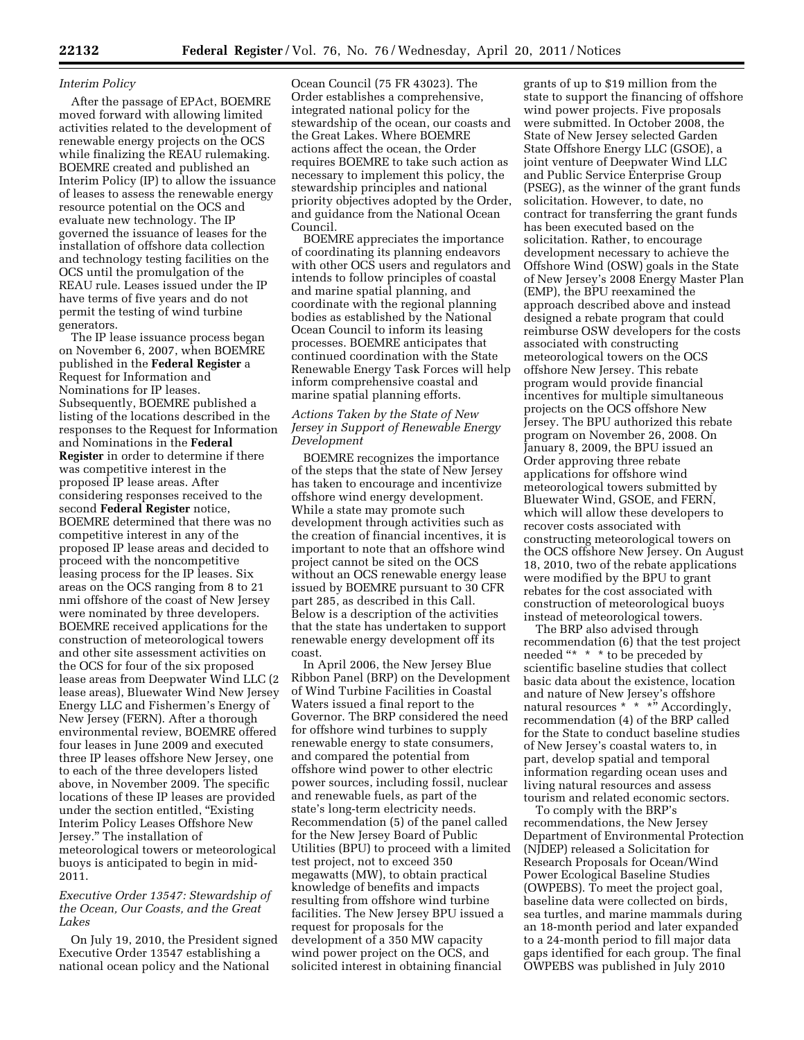#### *Interim Policy*

After the passage of EPAct, BOEMRE moved forward with allowing limited activities related to the development of renewable energy projects on the OCS while finalizing the REAU rulemaking. BOEMRE created and published an Interim Policy (IP) to allow the issuance of leases to assess the renewable energy resource potential on the OCS and evaluate new technology. The IP governed the issuance of leases for the installation of offshore data collection and technology testing facilities on the OCS until the promulgation of the REAU rule. Leases issued under the IP have terms of five years and do not permit the testing of wind turbine generators.

The IP lease issuance process began on November 6, 2007, when BOEMRE published in the **Federal Register** a Request for Information and Nominations for IP leases. Subsequently, BOEMRE published a listing of the locations described in the responses to the Request for Information and Nominations in the **Federal Register** in order to determine if there was competitive interest in the proposed IP lease areas. After considering responses received to the second **Federal Register** notice, BOEMRE determined that there was no competitive interest in any of the proposed IP lease areas and decided to proceed with the noncompetitive leasing process for the IP leases. Six areas on the OCS ranging from 8 to 21 nmi offshore of the coast of New Jersey were nominated by three developers. BOEMRE received applications for the construction of meteorological towers and other site assessment activities on the OCS for four of the six proposed lease areas from Deepwater Wind LLC (2 lease areas), Bluewater Wind New Jersey Energy LLC and Fishermen's Energy of New Jersey (FERN). After a thorough environmental review, BOEMRE offered four leases in June 2009 and executed three IP leases offshore New Jersey, one to each of the three developers listed above, in November 2009. The specific locations of these IP leases are provided under the section entitled, ''Existing Interim Policy Leases Offshore New Jersey.'' The installation of meteorological towers or meteorological buoys is anticipated to begin in mid-2011.

# *Executive Order 13547: Stewardship of the Ocean, Our Coasts, and the Great Lakes*

On July 19, 2010, the President signed Executive Order 13547 establishing a national ocean policy and the National

Ocean Council (75 FR 43023). The Order establishes a comprehensive, integrated national policy for the stewardship of the ocean, our coasts and the Great Lakes. Where BOEMRE actions affect the ocean, the Order requires BOEMRE to take such action as necessary to implement this policy, the stewardship principles and national priority objectives adopted by the Order, and guidance from the National Ocean Council.

BOEMRE appreciates the importance of coordinating its planning endeavors with other OCS users and regulators and intends to follow principles of coastal and marine spatial planning, and coordinate with the regional planning bodies as established by the National Ocean Council to inform its leasing processes. BOEMRE anticipates that continued coordination with the State Renewable Energy Task Forces will help inform comprehensive coastal and marine spatial planning efforts.

### *Actions Taken by the State of New Jersey in Support of Renewable Energy Development*

BOEMRE recognizes the importance of the steps that the state of New Jersey has taken to encourage and incentivize offshore wind energy development. While a state may promote such development through activities such as the creation of financial incentives, it is important to note that an offshore wind project cannot be sited on the OCS without an OCS renewable energy lease issued by BOEMRE pursuant to 30 CFR part 285, as described in this Call. Below is a description of the activities that the state has undertaken to support renewable energy development off its coast.

In April 2006, the New Jersey Blue Ribbon Panel (BRP) on the Development of Wind Turbine Facilities in Coastal Waters issued a final report to the Governor. The BRP considered the need for offshore wind turbines to supply renewable energy to state consumers, and compared the potential from offshore wind power to other electric power sources, including fossil, nuclear and renewable fuels, as part of the state's long-term electricity needs. Recommendation (5) of the panel called for the New Jersey Board of Public Utilities (BPU) to proceed with a limited test project, not to exceed 350 megawatts (MW), to obtain practical knowledge of benefits and impacts resulting from offshore wind turbine facilities. The New Jersey BPU issued a request for proposals for the development of a 350 MW capacity wind power project on the OCS, and solicited interest in obtaining financial

grants of up to \$19 million from the state to support the financing of offshore wind power projects. Five proposals were submitted. In October 2008, the State of New Jersey selected Garden State Offshore Energy LLC (GSOE), a joint venture of Deepwater Wind LLC and Public Service Enterprise Group (PSEG), as the winner of the grant funds solicitation. However, to date, no contract for transferring the grant funds has been executed based on the solicitation. Rather, to encourage development necessary to achieve the Offshore Wind (OSW) goals in the State of New Jersey's 2008 Energy Master Plan (EMP), the BPU reexamined the approach described above and instead designed a rebate program that could reimburse OSW developers for the costs associated with constructing meteorological towers on the OCS offshore New Jersey. This rebate program would provide financial incentives for multiple simultaneous projects on the OCS offshore New Jersey. The BPU authorized this rebate program on November 26, 2008. On January 8, 2009, the BPU issued an Order approving three rebate applications for offshore wind meteorological towers submitted by Bluewater Wind, GSOE, and FERN, which will allow these developers to recover costs associated with constructing meteorological towers on the OCS offshore New Jersey. On August 18, 2010, two of the rebate applications were modified by the BPU to grant rebates for the cost associated with construction of meteorological buoys instead of meteorological towers.

The BRP also advised through recommendation (6) that the test project needed "\* \* \* to be preceded by scientific baseline studies that collect basic data about the existence, location and nature of New Jersey's offshore natural resources  $* \rightarrow * \times^*$  Accordingly, recommendation (4) of the BRP called for the State to conduct baseline studies of New Jersey's coastal waters to, in part, develop spatial and temporal information regarding ocean uses and living natural resources and assess tourism and related economic sectors.

To comply with the BRP's recommendations, the New Jersey Department of Environmental Protection (NJDEP) released a Solicitation for Research Proposals for Ocean/Wind Power Ecological Baseline Studies (OWPEBS). To meet the project goal, baseline data were collected on birds, sea turtles, and marine mammals during an 18-month period and later expanded to a 24-month period to fill major data gaps identified for each group. The final OWPEBS was published in July 2010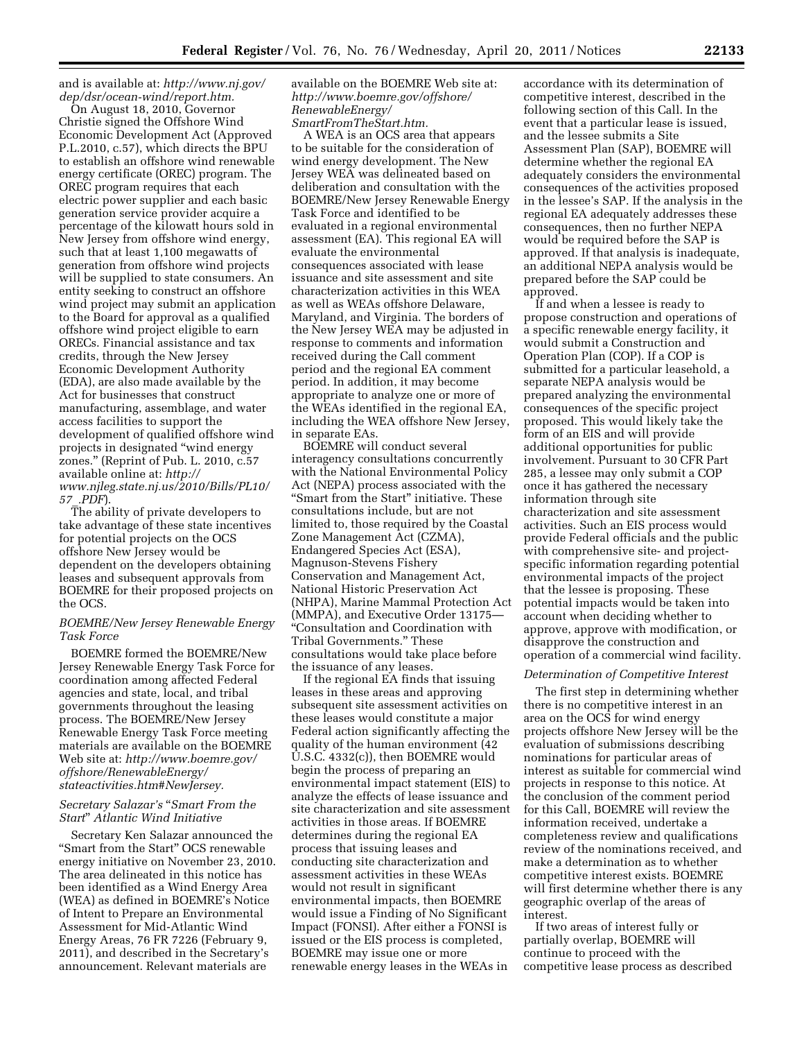and is available at: *http://www.nj.gov/ dep/dsr/ocean-wind/report.htm.* 

On August 18, 2010, Governor Christie signed the Offshore Wind Economic Development Act (Approved P.L.2010, c.57), which directs the BPU to establish an offshore wind renewable energy certificate (OREC) program. The OREC program requires that each electric power supplier and each basic generation service provider acquire a percentage of the kilowatt hours sold in New Jersey from offshore wind energy, such that at least 1,100 megawatts of generation from offshore wind projects will be supplied to state consumers. An entity seeking to construct an offshore wind project may submit an application to the Board for approval as a qualified offshore wind project eligible to earn ORECs. Financial assistance and tax credits, through the New Jersey Economic Development Authority (EDA), are also made available by the Act for businesses that construct manufacturing, assemblage, and water access facilities to support the development of qualified offshore wind projects in designated ''wind energy zones.'' (Reprint of Pub. L. 2010, c.57 available online at: *http:// www.njleg.state.nj.us/2010/Bills/PL10/ 57*\_*.PDF*).

The ability of private developers to take advantage of these state incentives for potential projects on the OCS offshore New Jersey would be dependent on the developers obtaining leases and subsequent approvals from BOEMRE for their proposed projects on the OCS.

### *BOEMRE/New Jersey Renewable Energy Task Force*

BOEMRE formed the BOEMRE/New Jersey Renewable Energy Task Force for coordination among affected Federal agencies and state, local, and tribal governments throughout the leasing process. The BOEMRE/New Jersey Renewable Energy Task Force meeting materials are available on the BOEMRE Web site at: *http://www.boemre.gov/ offshore/RenewableEnergy/ stateactivities.htm#NewJersey.* 

### *Secretary Salazar's* ''*Smart From the Start*'' *Atlantic Wind Initiative*

Secretary Ken Salazar announced the "Smart from the Start" OCS renewable energy initiative on November 23, 2010. The area delineated in this notice has been identified as a Wind Energy Area (WEA) as defined in BOEMRE's Notice of Intent to Prepare an Environmental Assessment for Mid-Atlantic Wind Energy Areas, 76 FR 7226 (February 9, 2011), and described in the Secretary's announcement. Relevant materials are

available on the BOEMRE Web site at: *http://www.boemre.gov/offshore/ RenewableEnergy/ SmartFromTheStart.htm.* 

A WEA is an OCS area that appears to be suitable for the consideration of wind energy development. The New Jersey WEA was delineated based on deliberation and consultation with the BOEMRE/New Jersey Renewable Energy Task Force and identified to be evaluated in a regional environmental assessment (EA). This regional EA will evaluate the environmental consequences associated with lease issuance and site assessment and site characterization activities in this WEA as well as WEAs offshore Delaware, Maryland, and Virginia. The borders of the New Jersey WEA may be adjusted in response to comments and information received during the Call comment period and the regional EA comment period. In addition, it may become appropriate to analyze one or more of the WEAs identified in the regional EA, including the WEA offshore New Jersey, in separate EAs.

BOEMRE will conduct several interagency consultations concurrently with the National Environmental Policy Act (NEPA) process associated with the "Smart from the Start" initiative. These consultations include, but are not limited to, those required by the Coastal Zone Management Act (CZMA), Endangered Species Act (ESA), Magnuson-Stevens Fishery Conservation and Management Act, National Historic Preservation Act (NHPA), Marine Mammal Protection Act (MMPA), and Executive Order 13175— ''Consultation and Coordination with Tribal Governments.'' These consultations would take place before the issuance of any leases.

If the regional EA finds that issuing leases in these areas and approving subsequent site assessment activities on these leases would constitute a major Federal action significantly affecting the quality of the human environment (42 U.S.C. 4332(c)), then BOEMRE would begin the process of preparing an environmental impact statement (EIS) to analyze the effects of lease issuance and site characterization and site assessment activities in those areas. If BOEMRE determines during the regional EA process that issuing leases and conducting site characterization and assessment activities in these WEAs would not result in significant environmental impacts, then BOEMRE would issue a Finding of No Significant Impact (FONSI). After either a FONSI is issued or the EIS process is completed, BOEMRE may issue one or more renewable energy leases in the WEAs in

accordance with its determination of competitive interest, described in the following section of this Call. In the event that a particular lease is issued, and the lessee submits a Site Assessment Plan (SAP), BOEMRE will determine whether the regional EA adequately considers the environmental consequences of the activities proposed in the lessee's SAP. If the analysis in the regional EA adequately addresses these consequences, then no further NEPA would be required before the SAP is approved. If that analysis is inadequate, an additional NEPA analysis would be prepared before the SAP could be approved.

If and when a lessee is ready to propose construction and operations of a specific renewable energy facility, it would submit a Construction and Operation Plan (COP). If a COP is submitted for a particular leasehold, a separate NEPA analysis would be prepared analyzing the environmental consequences of the specific project proposed. This would likely take the form of an EIS and will provide additional opportunities for public involvement. Pursuant to 30 CFR Part 285, a lessee may only submit a COP once it has gathered the necessary information through site characterization and site assessment activities. Such an EIS process would provide Federal officials and the public with comprehensive site- and projectspecific information regarding potential environmental impacts of the project that the lessee is proposing. These potential impacts would be taken into account when deciding whether to approve, approve with modification, or disapprove the construction and operation of a commercial wind facility.

#### *Determination of Competitive Interest*

The first step in determining whether there is no competitive interest in an area on the OCS for wind energy projects offshore New Jersey will be the evaluation of submissions describing nominations for particular areas of interest as suitable for commercial wind projects in response to this notice. At the conclusion of the comment period for this Call, BOEMRE will review the information received, undertake a completeness review and qualifications review of the nominations received, and make a determination as to whether competitive interest exists. BOEMRE will first determine whether there is any geographic overlap of the areas of interest.

If two areas of interest fully or partially overlap, BOEMRE will continue to proceed with the competitive lease process as described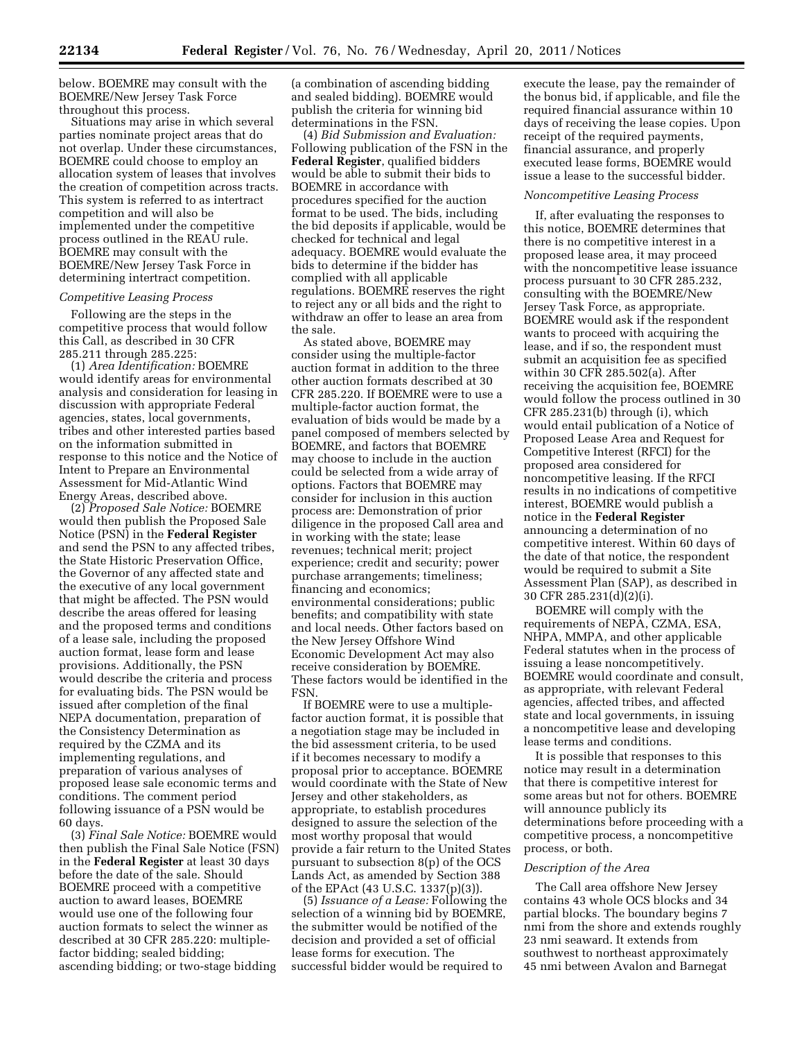below. BOEMRE may consult with the BOEMRE/New Jersey Task Force throughout this process.

Situations may arise in which several parties nominate project areas that do not overlap. Under these circumstances, BOEMRE could choose to employ an allocation system of leases that involves the creation of competition across tracts. This system is referred to as intertract competition and will also be implemented under the competitive process outlined in the REAU rule. BOEMRE may consult with the BOEMRE/New Jersey Task Force in determining intertract competition.

## *Competitive Leasing Process*

Following are the steps in the competitive process that would follow this Call, as described in 30 CFR 285.211 through 285.225:

(1) *Area Identification:* BOEMRE would identify areas for environmental analysis and consideration for leasing in discussion with appropriate Federal agencies, states, local governments, tribes and other interested parties based on the information submitted in response to this notice and the Notice of Intent to Prepare an Environmental Assessment for Mid-Atlantic Wind Energy Areas, described above.

(2) *Proposed Sale Notice:* BOEMRE would then publish the Proposed Sale Notice (PSN) in the **Federal Register**  and send the PSN to any affected tribes, the State Historic Preservation Office, the Governor of any affected state and the executive of any local government that might be affected. The PSN would describe the areas offered for leasing and the proposed terms and conditions of a lease sale, including the proposed auction format, lease form and lease provisions. Additionally, the PSN would describe the criteria and process for evaluating bids. The PSN would be issued after completion of the final NEPA documentation, preparation of the Consistency Determination as required by the CZMA and its implementing regulations, and preparation of various analyses of proposed lease sale economic terms and conditions. The comment period following issuance of a PSN would be 60 days.

(3) *Final Sale Notice:* BOEMRE would then publish the Final Sale Notice (FSN) in the **Federal Register** at least 30 days before the date of the sale. Should BOEMRE proceed with a competitive auction to award leases, BOEMRE would use one of the following four auction formats to select the winner as described at 30 CFR 285.220: multiplefactor bidding; sealed bidding; ascending bidding; or two-stage bidding

(a combination of ascending bidding and sealed bidding). BOEMRE would publish the criteria for winning bid determinations in the FSN.

(4) *Bid Submission and Evaluation:*  Following publication of the FSN in the **Federal Register**, qualified bidders would be able to submit their bids to BOEMRE in accordance with procedures specified for the auction format to be used. The bids, including the bid deposits if applicable, would be checked for technical and legal adequacy. BOEMRE would evaluate the bids to determine if the bidder has complied with all applicable regulations. BOEMRE reserves the right to reject any or all bids and the right to withdraw an offer to lease an area from the sale.

As stated above, BOEMRE may consider using the multiple-factor auction format in addition to the three other auction formats described at 30 CFR 285.220. If BOEMRE were to use a multiple-factor auction format, the evaluation of bids would be made by a panel composed of members selected by BOEMRE, and factors that BOEMRE may choose to include in the auction could be selected from a wide array of options. Factors that BOEMRE may consider for inclusion in this auction process are: Demonstration of prior diligence in the proposed Call area and in working with the state; lease revenues; technical merit; project experience; credit and security; power purchase arrangements; timeliness; financing and economics; environmental considerations; public benefits; and compatibility with state and local needs. Other factors based on the New Jersey Offshore Wind Economic Development Act may also receive consideration by BOEMRE. These factors would be identified in the FSN.

If BOEMRE were to use a multiplefactor auction format, it is possible that a negotiation stage may be included in the bid assessment criteria, to be used if it becomes necessary to modify a proposal prior to acceptance. BOEMRE would coordinate with the State of New Jersey and other stakeholders, as appropriate, to establish procedures designed to assure the selection of the most worthy proposal that would provide a fair return to the United States pursuant to subsection 8(p) of the OCS Lands Act, as amended by Section 388 of the EPAct (43 U.S.C. 1337(p)(3)).

(5) *Issuance of a Lease:* Following the selection of a winning bid by BOEMRE, the submitter would be notified of the decision and provided a set of official lease forms for execution. The successful bidder would be required to

execute the lease, pay the remainder of the bonus bid, if applicable, and file the required financial assurance within 10 days of receiving the lease copies. Upon receipt of the required payments, financial assurance, and properly executed lease forms, BOEMRE would issue a lease to the successful bidder.

#### *Noncompetitive Leasing Process*

If, after evaluating the responses to this notice, BOEMRE determines that there is no competitive interest in a proposed lease area, it may proceed with the noncompetitive lease issuance process pursuant to 30 CFR 285.232, consulting with the BOEMRE/New Jersey Task Force, as appropriate. BOEMRE would ask if the respondent wants to proceed with acquiring the lease, and if so, the respondent must submit an acquisition fee as specified within 30 CFR 285.502(a). After receiving the acquisition fee, BOEMRE would follow the process outlined in 30 CFR 285.231(b) through (i), which would entail publication of a Notice of Proposed Lease Area and Request for Competitive Interest (RFCI) for the proposed area considered for noncompetitive leasing. If the RFCI results in no indications of competitive interest, BOEMRE would publish a notice in the **Federal Register**  announcing a determination of no competitive interest. Within 60 days of the date of that notice, the respondent would be required to submit a Site Assessment Plan (SAP), as described in 30 CFR 285.231(d)(2)(i).

BOEMRE will comply with the requirements of NEPA, CZMA, ESA, NHPA, MMPA, and other applicable Federal statutes when in the process of issuing a lease noncompetitively. BOEMRE would coordinate and consult, as appropriate, with relevant Federal agencies, affected tribes, and affected state and local governments, in issuing a noncompetitive lease and developing lease terms and conditions.

It is possible that responses to this notice may result in a determination that there is competitive interest for some areas but not for others. BOEMRE will announce publicly its determinations before proceeding with a competitive process, a noncompetitive process, or both.

### *Description of the Area*

The Call area offshore New Jersey contains 43 whole OCS blocks and 34 partial blocks. The boundary begins 7 nmi from the shore and extends roughly 23 nmi seaward. It extends from southwest to northeast approximately 45 nmi between Avalon and Barnegat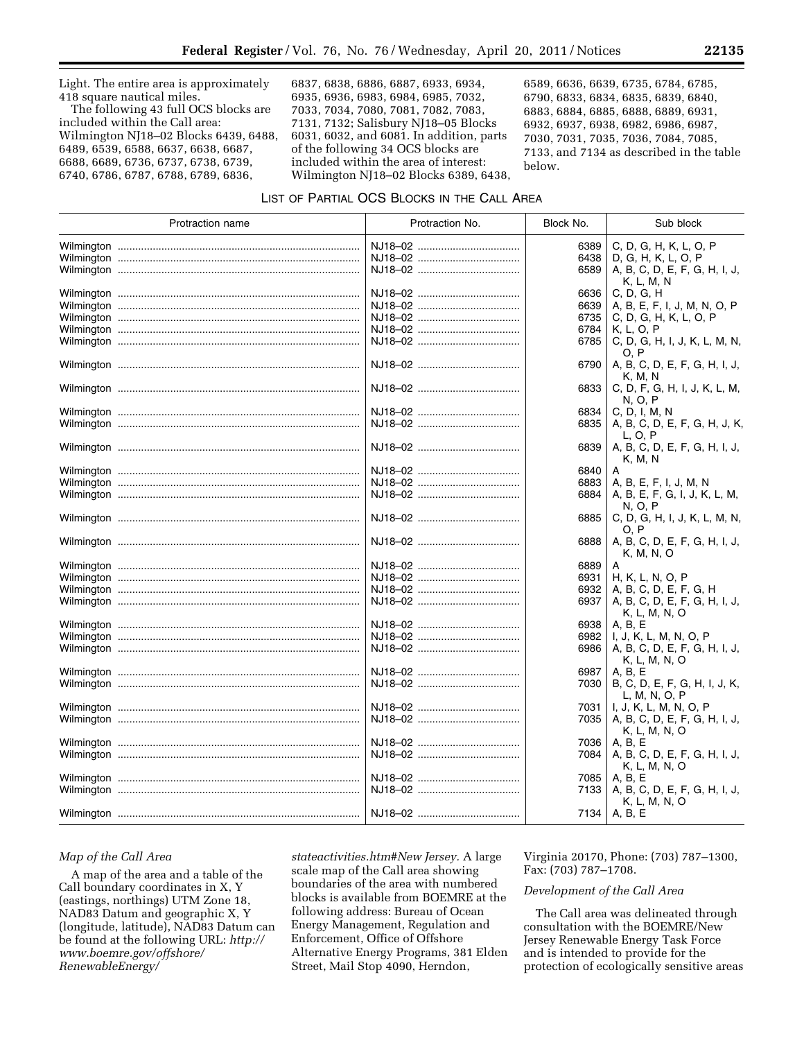Light. The entire area is approximately 418 square nautical miles.

The following 43 full OCS blocks are included within the Call area: Wilmington NJ18–02 Blocks 6439, 6488, 6489, 6539, 6588, 6637, 6638, 6687, 6688, 6689, 6736, 6737, 6738, 6739, 6740, 6786, 6787, 6788, 6789, 6836,

6837, 6838, 6886, 6887, 6933, 6934, 6935, 6936, 6983, 6984, 6985, 7032, 7033, 7034, 7080, 7081, 7082, 7083, 7131, 7132; Salisbury NJ18–05 Blocks 6031, 6032, and 6081. In addition, parts of the following 34 OCS blocks are included within the area of interest: Wilmington NJ18–02 Blocks 6389, 6438, 6589, 6636, 6639, 6735, 6784, 6785, 6790, 6833, 6834, 6835, 6839, 6840, 6883, 6884, 6885, 6888, 6889, 6931, 6932, 6937, 6938, 6982, 6986, 6987, 7030, 7031, 7035, 7036, 7084, 7085, 7133, and 7134 as described in the table below.

# LIST OF PARTIAL OCS BLOCKS IN THE CALL AREA

| Protraction name | Protraction No. | Block No.                            | Sub block                                                                                                                   |
|------------------|-----------------|--------------------------------------|-----------------------------------------------------------------------------------------------------------------------------|
|                  | NJ18-02         | 6389<br>6438<br>6589                 | C, D, G, H, K, L, O, P<br>D, G, H, K, L, O, P<br>A, B, C, D, E, F, G, H, I, J,<br>K, L, M, N                                |
|                  | NJ18-02         | 6636<br>6639<br>6735<br>6784<br>6785 | C, D, G, H<br>A, B, E, F, I, J, M, N, O, P<br>C, D, G, H, K, L, O, P<br>K, L, O, P<br>C, D, G, H, I, J, K, L, M, N,<br>O. P |
|                  |                 | 6790                                 | A, B, C, D, E, F, G, H, I, J,<br>K, M, N                                                                                    |
|                  |                 | 6833                                 | C, D, F, G, H, I, J, K, L, M,<br>N, O, P                                                                                    |
|                  | NJ18-02         | 6834<br>6835                         | C, D, I, M, N<br>A, B, C, D, E, F, G, H, J, K,<br>L. O. P                                                                   |
|                  |                 | 6839                                 | A, B, C, D, E, F, G, H, I, J,<br>K, M, N                                                                                    |
|                  | NJ18-02         | 6840<br>6883<br>6884                 | A<br>A, B, E, F, I, J, M, N<br>A, B, E, F, G, I, J, K, L, M,<br>N, O, P                                                     |
|                  |                 | 6885                                 | C, D, G, H, I, J, K, L, M, N,<br>O. P                                                                                       |
|                  |                 | 6888                                 | A, B, C, D, E, F, G, H, I, J,<br>K, M, N, O                                                                                 |
|                  | NJ18-02         | 6889<br>6931<br>6932<br>6937         | A<br>H, K, L, N, O, P<br>A, B, C, D, E, F, G, H<br>A, B, C, D, E, F, G, H, I, J,<br>K, L, M, N, O                           |
|                  |                 | 6938<br>6982<br>6986                 | A, B, E<br>I, J, K, L, M, N, O, P<br>A, B, C, D, E, F, G, H, I, J,<br>K, L, M, N, O                                         |
|                  |                 | 6987<br>7030                         | A, B, E<br>B, C, D, E, F, G, H, I, J, K,<br>L, M, N, O, P                                                                   |
|                  |                 | 7031<br>7035                         | I, J, K, L, M, N, O, P<br>A, B, C, D, E, F, G, H, I, J,<br>K, L, M, N, O                                                    |
|                  |                 | 7036<br>7084                         | A, B, E<br>A, B, C, D, E, F, G, H, I, J,<br>K, L, M, N, O                                                                   |
|                  | NJ18-02         | 7085<br>7133                         | A, B, E<br>A, B, C, D, E, F, G, H, I, J,<br>K, L, M, N, O                                                                   |
|                  |                 | 7134                                 | A, B, E                                                                                                                     |

### *Map of the Call Area*

A map of the area and a table of the Call boundary coordinates in X, Y (eastings, northings) UTM Zone 18, NAD83 Datum and geographic X, Y (longitude, latitude), NAD83 Datum can be found at the following URL: *http:// www.boemre.gov/offshore/ RenewableEnergy/*

*stateactivities.htm#New Jersey.* A large scale map of the Call area showing boundaries of the area with numbered blocks is available from BOEMRE at the following address: Bureau of Ocean Energy Management, Regulation and Enforcement, Office of Offshore Alternative Energy Programs, 381 Elden Street, Mail Stop 4090, Herndon,

Virginia 20170, Phone: (703) 787–1300, Fax: (703) 787–1708.

## *Development of the Call Area*

The Call area was delineated through consultation with the BOEMRE/New Jersey Renewable Energy Task Force and is intended to provide for the protection of ecologically sensitive areas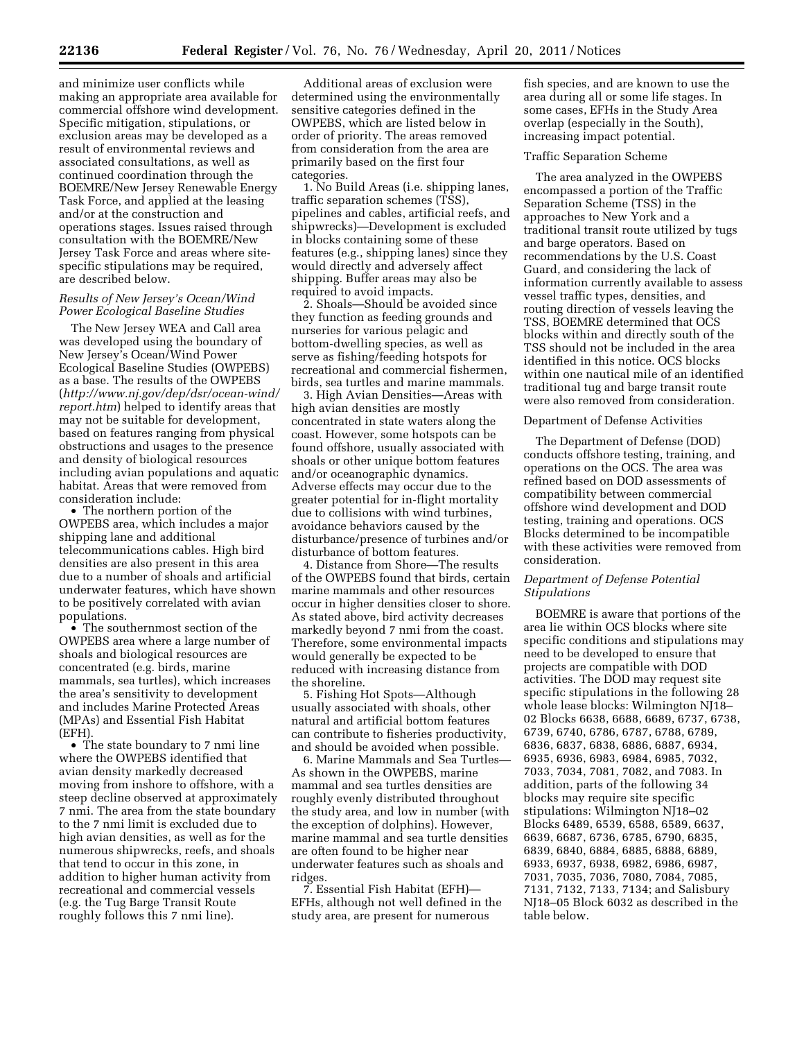and minimize user conflicts while making an appropriate area available for commercial offshore wind development. Specific mitigation, stipulations, or exclusion areas may be developed as a result of environmental reviews and associated consultations, as well as continued coordination through the BOEMRE/New Jersey Renewable Energy Task Force, and applied at the leasing and/or at the construction and operations stages. Issues raised through consultation with the BOEMRE/New Jersey Task Force and areas where sitespecific stipulations may be required, are described below.

## *Results of New Jersey's Ocean/Wind Power Ecological Baseline Studies*

The New Jersey WEA and Call area was developed using the boundary of New Jersey's Ocean/Wind Power Ecological Baseline Studies (OWPEBS) as a base. The results of the OWPEBS (*http://www.nj.gov/dep/dsr/ocean-wind/ report.htm*) helped to identify areas that may not be suitable for development, based on features ranging from physical obstructions and usages to the presence and density of biological resources including avian populations and aquatic habitat. Areas that were removed from consideration include:

• The northern portion of the OWPEBS area, which includes a major shipping lane and additional telecommunications cables. High bird densities are also present in this area due to a number of shoals and artificial underwater features, which have shown to be positively correlated with avian populations.

• The southernmost section of the OWPEBS area where a large number of shoals and biological resources are concentrated (e.g. birds, marine mammals, sea turtles), which increases the area's sensitivity to development and includes Marine Protected Areas (MPAs) and Essential Fish Habitat (EFH).

• The state boundary to 7 nmi line where the OWPEBS identified that avian density markedly decreased moving from inshore to offshore, with a steep decline observed at approximately 7 nmi. The area from the state boundary to the 7 nmi limit is excluded due to high avian densities, as well as for the numerous shipwrecks, reefs, and shoals that tend to occur in this zone, in addition to higher human activity from recreational and commercial vessels (e.g. the Tug Barge Transit Route roughly follows this 7 nmi line).

Additional areas of exclusion were determined using the environmentally sensitive categories defined in the OWPEBS, which are listed below in order of priority. The areas removed from consideration from the area are primarily based on the first four categories.

1. No Build Areas (i.e. shipping lanes, traffic separation schemes (TSS), pipelines and cables, artificial reefs, and shipwrecks)—Development is excluded in blocks containing some of these features (e.g., shipping lanes) since they would directly and adversely affect shipping. Buffer areas may also be required to avoid impacts.

2. Shoals—Should be avoided since they function as feeding grounds and nurseries for various pelagic and bottom-dwelling species, as well as serve as fishing/feeding hotspots for recreational and commercial fishermen, birds, sea turtles and marine mammals.

3. High Avian Densities—Areas with high avian densities are mostly concentrated in state waters along the coast. However, some hotspots can be found offshore, usually associated with shoals or other unique bottom features and/or oceanographic dynamics. Adverse effects may occur due to the greater potential for in-flight mortality due to collisions with wind turbines, avoidance behaviors caused by the disturbance/presence of turbines and/or disturbance of bottom features.

4. Distance from Shore—The results of the OWPEBS found that birds, certain marine mammals and other resources occur in higher densities closer to shore. As stated above, bird activity decreases markedly beyond 7 nmi from the coast. Therefore, some environmental impacts would generally be expected to be reduced with increasing distance from the shoreline.

5. Fishing Hot Spots—Although usually associated with shoals, other natural and artificial bottom features can contribute to fisheries productivity, and should be avoided when possible.

6. Marine Mammals and Sea Turtles— As shown in the OWPEBS, marine mammal and sea turtles densities are roughly evenly distributed throughout the study area, and low in number (with the exception of dolphins). However, marine mammal and sea turtle densities are often found to be higher near underwater features such as shoals and ridges.

7. Essential Fish Habitat (EFH)— EFHs, although not well defined in the study area, are present for numerous

fish species, and are known to use the area during all or some life stages. In some cases, EFHs in the Study Area overlap (especially in the South), increasing impact potential.

## Traffic Separation Scheme

The area analyzed in the OWPEBS encompassed a portion of the Traffic Separation Scheme (TSS) in the approaches to New York and a traditional transit route utilized by tugs and barge operators. Based on recommendations by the U.S. Coast Guard, and considering the lack of information currently available to assess vessel traffic types, densities, and routing direction of vessels leaving the TSS, BOEMRE determined that OCS blocks within and directly south of the TSS should not be included in the area identified in this notice. OCS blocks within one nautical mile of an identified traditional tug and barge transit route were also removed from consideration.

#### Department of Defense Activities

The Department of Defense (DOD) conducts offshore testing, training, and operations on the OCS. The area was refined based on DOD assessments of compatibility between commercial offshore wind development and DOD testing, training and operations. OCS Blocks determined to be incompatible with these activities were removed from consideration.

## *Department of Defense Potential Stipulations*

BOEMRE is aware that portions of the area lie within OCS blocks where site specific conditions and stipulations may need to be developed to ensure that projects are compatible with DOD activities. The DOD may request site specific stipulations in the following 28 whole lease blocks: Wilmington NJ18– 02 Blocks 6638, 6688, 6689, 6737, 6738, 6739, 6740, 6786, 6787, 6788, 6789, 6836, 6837, 6838, 6886, 6887, 6934, 6935, 6936, 6983, 6984, 6985, 7032, 7033, 7034, 7081, 7082, and 7083. In addition, parts of the following 34 blocks may require site specific stipulations: Wilmington NJ18–02 Blocks 6489, 6539, 6588, 6589, 6637, 6639, 6687, 6736, 6785, 6790, 6835, 6839, 6840, 6884, 6885, 6888, 6889, 6933, 6937, 6938, 6982, 6986, 6987, 7031, 7035, 7036, 7080, 7084, 7085, 7131, 7132, 7133, 7134; and Salisbury NJ18–05 Block 6032 as described in the table below.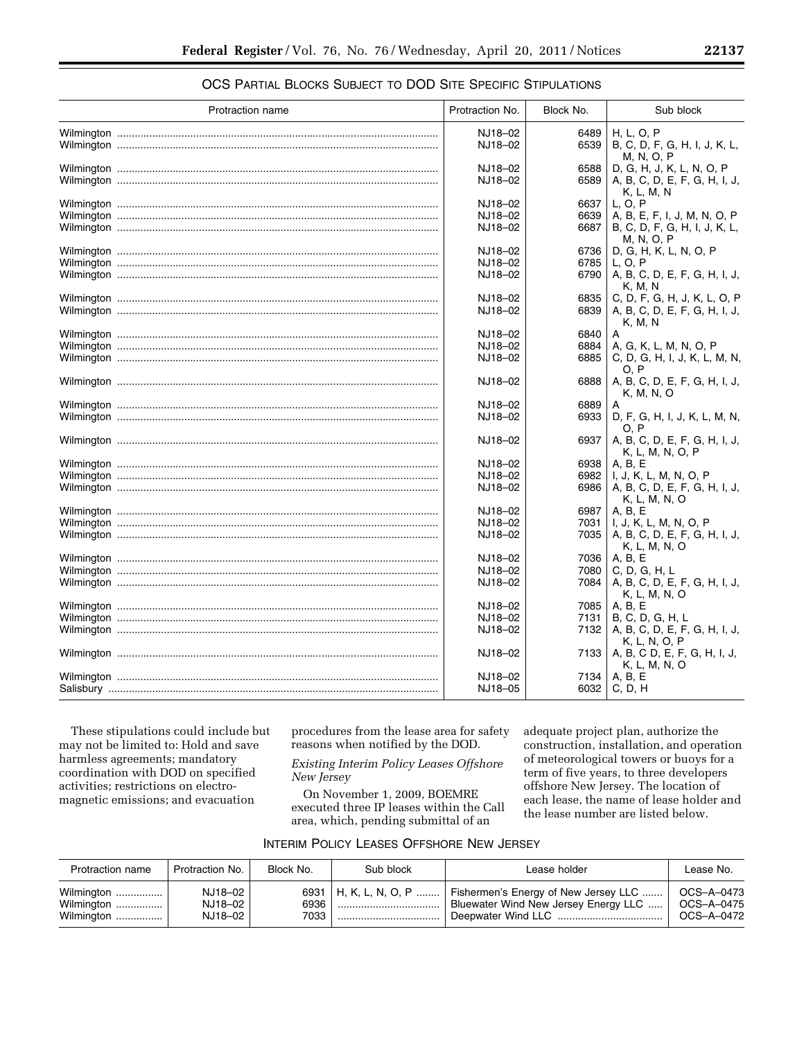| Protraction name | Protraction No. | Block No. | Sub block                     |
|------------------|-----------------|-----------|-------------------------------|
|                  | NJ18-02         | 6489      | H, L, O, P                    |
|                  |                 |           |                               |
|                  | NJ18-02         | 6539      | B, C, D, F, G, H, I, J, K, L, |
|                  |                 |           | M, N, O, P                    |
|                  | NJ18-02         | 6588      | D, G, H, J, K, L, N, O, P     |
|                  | NJ18-02         | 6589      | A, B, C, D, E, F, G, H, I, J, |
|                  |                 |           | K, L, M, N                    |
|                  |                 |           | L, O, P                       |
|                  | NJ18-02         | 6637      |                               |
|                  | NJ18-02         | 6639      | A, B, E, F, I, J, M, N, O, P  |
|                  | NJ18-02         | 6687      | B, C, D, F, G, H, I, J, K, L, |
|                  |                 |           | M, N, O, P                    |
|                  | NJ18-02         | 6736      | D, G, H, K, L, N, O, P        |
|                  | NJ18-02         | 6785      | L, O, P                       |
|                  | NJ18-02         | 6790      | A, B, C, D, E, F, G, H, I, J, |
|                  |                 |           |                               |
|                  |                 |           | K, M, N                       |
|                  | NJ18-02         | 6835      | C, D, F, G, H, J, K, L, O, P  |
|                  | NJ18-02         | 6839      | A, B, C, D, E, F, G, H, I, J, |
|                  |                 |           | K, M, N                       |
|                  | NJ18-02         | 6840      |                               |
|                  | NJ18-02         |           | A, G, K, L, M, N, O, P        |
|                  |                 | 6884      |                               |
|                  | NJ18-02         | 6885      | C, D, G, H, I, J, K, L, M, N, |
|                  |                 |           | O. P                          |
|                  | NJ18-02         | 6888      | A, B, C, D, E, F, G, H, I, J, |
|                  |                 |           | K, M, N, O                    |
|                  | NJ18-02         | 6889      | A                             |
|                  | NJ18-02         | 6933      | D, F, G, H, I, J, K, L, M, N, |
|                  |                 |           | O. P                          |
|                  |                 |           |                               |
|                  | NJ18-02         | 6937      | A, B, C, D, E, F, G, H, I, J, |
|                  |                 |           | K, L, M, N, O, P              |
|                  | NJ18-02         | 6938      | A, B, E                       |
|                  | NJ18-02         | 6982      | I, J, K, L, M, N, O, P        |
|                  | NJ18-02         | 6986      | A, B, C, D, E, F, G, H, I, J, |
|                  |                 |           | K, L, M, N, O                 |
|                  | NJ18-02         | 6987      | A, B, E                       |
|                  |                 |           |                               |
|                  | NJ18-02         | 7031      | I, J, K, L, M, N, O, P        |
|                  | NJ18-02         | 7035      | A, B, C, D, E, F, G, H, I, J, |
|                  |                 |           | K, L, M, N, O                 |
|                  | NJ18-02         | 7036      | A, B, E                       |
|                  | NJ18-02         | 7080      | C, D, G, H, L                 |
|                  | NJ18-02         | 7084      | A, B, C, D, E, F, G, H, I, J, |
|                  |                 |           |                               |
|                  |                 |           | K, L, M, N, O                 |
|                  | NJ18-02         | 7085      | A, B, E                       |
|                  | NJ18-02         | 7131      | B, C, D, G, H, L              |
|                  | NJ18-02         | 7132      | A, B, C, D, E, F, G, H, I, J, |
|                  |                 |           | K, L, N, O, P                 |
|                  | NJ18-02         | 7133      | A, B, C D, E, F, G, H, I, J,  |
|                  |                 |           |                               |
|                  |                 |           | K, L, M, N, O                 |
|                  | NJ18-02         | 7134      | A, B, E                       |
|                  | NJ18-05         |           | 6032   C, D, H                |
|                  |                 |           |                               |

# OCS PARTIAL BLOCKS SUBJECT TO DOD SITE SPECIFIC STIPULATIONS

These stipulations could include but may not be limited to: Hold and save harmless agreements; mandatory coordination with DOD on specified activities; restrictions on electromagnetic emissions; and evacuation

procedures from the lease area for safety reasons when notified by the DOD.

*Existing Interim Policy Leases Offshore New Jersey* 

On November 1, 2009, BOEMRE executed three IP leases within the Call area, which, pending submittal of an

adequate project plan, authorize the construction, installation, and operation of meteorological towers or buoys for a term of five years, to three developers offshore New Jersey. The location of each lease, the name of lease holder and the lease number are listed below.

| INTERIM POLICY LEASES OFFSHORE NEW JERSEY |  |  |  |  |
|-------------------------------------------|--|--|--|--|
|-------------------------------------------|--|--|--|--|

| Protraction name                       | Protraction No.               | Block No.    | Sub block               | Lease holder                                                                                       | Lease No.                              |
|----------------------------------------|-------------------------------|--------------|-------------------------|----------------------------------------------------------------------------------------------------|----------------------------------------|
| Wilmington<br>Wilmington<br>Wilmington | NJ18-02<br>NJ18-02<br>NJ18-02 | 6936<br>7033 | 6931   H. K. L. N. O. P | Fishermen's Energy of New Jersey LLC<br>Bluewater Wind New Jersey Energy LLC<br>Deepwater Wind LLC | OCS-A-0473<br>OCS-A-0475<br>OCS-A-0472 |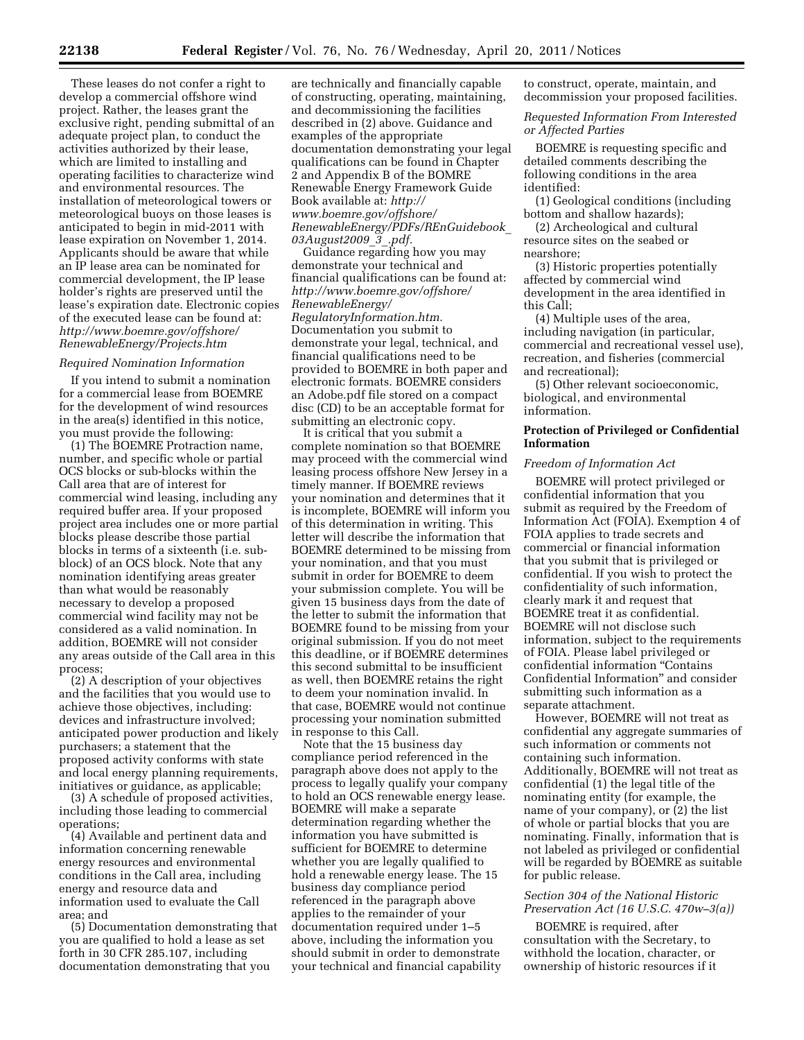These leases do not confer a right to develop a commercial offshore wind project. Rather, the leases grant the exclusive right, pending submittal of an adequate project plan, to conduct the activities authorized by their lease, which are limited to installing and operating facilities to characterize wind and environmental resources. The installation of meteorological towers or meteorological buoys on those leases is anticipated to begin in mid-2011 with lease expiration on November 1, 2014. Applicants should be aware that while an IP lease area can be nominated for commercial development, the IP lease holder's rights are preserved until the lease's expiration date. Electronic copies of the executed lease can be found at: *http://www.boemre.gov/offshore/ RenewableEnergy/Projects.htm* 

### *Required Nomination Information*

If you intend to submit a nomination for a commercial lease from BOEMRE for the development of wind resources in the area(s) identified in this notice, you must provide the following:

(1) The BOEMRE Protraction name, number, and specific whole or partial OCS blocks or sub-blocks within the Call area that are of interest for commercial wind leasing, including any required buffer area. If your proposed project area includes one or more partial blocks please describe those partial blocks in terms of a sixteenth (i.e. subblock) of an OCS block. Note that any nomination identifying areas greater than what would be reasonably necessary to develop a proposed commercial wind facility may not be considered as a valid nomination. In addition, BOEMRE will not consider any areas outside of the Call area in this process;

(2) A description of your objectives and the facilities that you would use to achieve those objectives, including: devices and infrastructure involved; anticipated power production and likely purchasers; a statement that the proposed activity conforms with state and local energy planning requirements, initiatives or guidance, as applicable;

(3) A schedule of proposed activities, including those leading to commercial operations;

(4) Available and pertinent data and information concerning renewable energy resources and environmental conditions in the Call area, including energy and resource data and information used to evaluate the Call area; and

(5) Documentation demonstrating that you are qualified to hold a lease as set forth in 30 CFR 285.107, including documentation demonstrating that you

are technically and financially capable of constructing, operating, maintaining, and decommissioning the facilities described in (2) above. Guidance and examples of the appropriate documentation demonstrating your legal qualifications can be found in Chapter 2 and Appendix B of the BOMRE Renewable Energy Framework Guide Book available at: *http:// www.boemre.gov/offshore/ RenewableEnergy/PDFs/REnGuidebook*\_ *03August2009*\_*3*\_*.pdf.* 

Guidance regarding how you may demonstrate your technical and financial qualifications can be found at: *http://www.boemre.gov/offshore/ RenewableEnergy/ RegulatoryInformation.htm.*  Documentation you submit to demonstrate your legal, technical, and financial qualifications need to be provided to BOEMRE in both paper and electronic formats. BOEMRE considers an Adobe.pdf file stored on a compact disc (CD) to be an acceptable format for submitting an electronic copy.

It is critical that you submit a complete nomination so that BOEMRE may proceed with the commercial wind leasing process offshore New Jersey in a timely manner. If BOEMRE reviews your nomination and determines that it is incomplete, BOEMRE will inform you of this determination in writing. This letter will describe the information that BOEMRE determined to be missing from your nomination, and that you must submit in order for BOEMRE to deem your submission complete. You will be given 15 business days from the date of the letter to submit the information that BOEMRE found to be missing from your original submission. If you do not meet this deadline, or if BOEMRE determines this second submittal to be insufficient as well, then BOEMRE retains the right to deem your nomination invalid. In that case, BOEMRE would not continue processing your nomination submitted in response to this Call.

Note that the 15 business day compliance period referenced in the paragraph above does not apply to the process to legally qualify your company to hold an OCS renewable energy lease. BOEMRE will make a separate determination regarding whether the information you have submitted is sufficient for BOEMRE to determine whether you are legally qualified to hold a renewable energy lease. The 15 business day compliance period referenced in the paragraph above applies to the remainder of your documentation required under 1–5 above, including the information you should submit in order to demonstrate your technical and financial capability

to construct, operate, maintain, and decommission your proposed facilities.

*Requested Information From Interested or Affected Parties* 

BOEMRE is requesting specific and detailed comments describing the following conditions in the area identified:

(1) Geological conditions (including bottom and shallow hazards);

(2) Archeological and cultural resource sites on the seabed or nearshore;

(3) Historic properties potentially affected by commercial wind development in the area identified in this Call;

(4) Multiple uses of the area, including navigation (in particular, commercial and recreational vessel use), recreation, and fisheries (commercial and recreational);

(5) Other relevant socioeconomic, biological, and environmental information.

# **Protection of Privileged or Confidential Information**

#### *Freedom of Information Act*

BOEMRE will protect privileged or confidential information that you submit as required by the Freedom of Information Act (FOIA). Exemption 4 of FOIA applies to trade secrets and commercial or financial information that you submit that is privileged or confidential. If you wish to protect the confidentiality of such information, clearly mark it and request that BOEMRE treat it as confidential. BOEMRE will not disclose such information, subject to the requirements of FOIA. Please label privileged or confidential information ''Contains Confidential Information'' and consider submitting such information as a separate attachment.

However, BOEMRE will not treat as confidential any aggregate summaries of such information or comments not containing such information. Additionally, BOEMRE will not treat as confidential (1) the legal title of the nominating entity (for example, the name of your company), or (2) the list of whole or partial blocks that you are nominating. Finally, information that is not labeled as privileged or confidential will be regarded by BOEMRE as suitable for public release.

# *Section 304 of the National Historic Preservation Act (16 U.S.C. 470w–3(a))*

BOEMRE is required, after consultation with the Secretary, to withhold the location, character, or ownership of historic resources if it